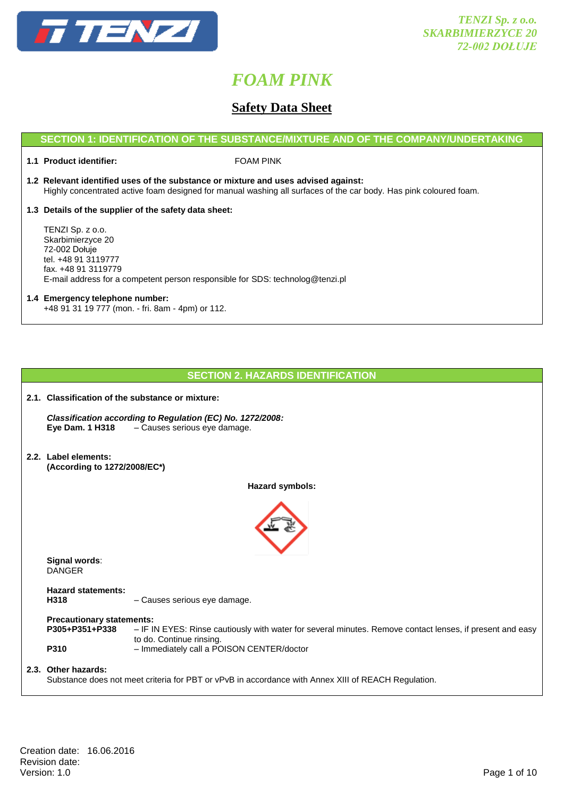

## **Safety Data Sheet**

## **SECTION 1: IDENTIFICATION OF THE SUBSTANCE/MIXTURE AND OF THE COMPANY/UNDERTAKING**

**1.1 Product identifier:** FOAM PINK

- **1.2 Relevant identified uses of the substance or mixture and uses advised against:** Highly concentrated active foam designed for manual washing all surfaces of the car body. Has pink coloured foam.
- **1.3 Details of the supplier of the safety data sheet:**

TENZI Sp. z o.o. Skarbimierzyce 20 72-002 Dołuje tel. +48 91 3119777 fax. +48 91 3119779 E-mail address for a competent person responsible for SDS: technolog@tenzi.pl

### **1.4 Emergency telephone number:** +48 91 31 19 777 (mon. - fri. 8am - 4pm) or 112.

## **SECTION 2. HAZARDS IDENTIFICATION**

| 2.1. Classification of the substance or mixture:                  |                                                                                                                                                                                    |  |
|-------------------------------------------------------------------|------------------------------------------------------------------------------------------------------------------------------------------------------------------------------------|--|
| <b>Eye Dam. 1 H318</b>                                            | Classification according to Regulation (EC) No. 1272/2008:<br>- Causes serious eye damage.                                                                                         |  |
| 2.2. Label elements:<br>(According to 1272/2008/EC*)              |                                                                                                                                                                                    |  |
|                                                                   | Hazard symbols:                                                                                                                                                                    |  |
|                                                                   |                                                                                                                                                                                    |  |
| Signal words:<br><b>DANGER</b>                                    |                                                                                                                                                                                    |  |
| <b>Hazard statements:</b><br>H318                                 | - Causes serious eye damage.                                                                                                                                                       |  |
| <b>Precautionary statements:</b><br>P305+P351+P338<br><b>P310</b> | - IF IN EYES: Rinse cautiously with water for several minutes. Remove contact lenses, if present and easy<br>to do. Continue rinsing.<br>- Immediately call a POISON CENTER/doctor |  |
| 2.3. Other hazards:                                               | Substance does not meet criteria for PBT or vPvB in accordance with Annex XIII of REACH Regulation.                                                                                |  |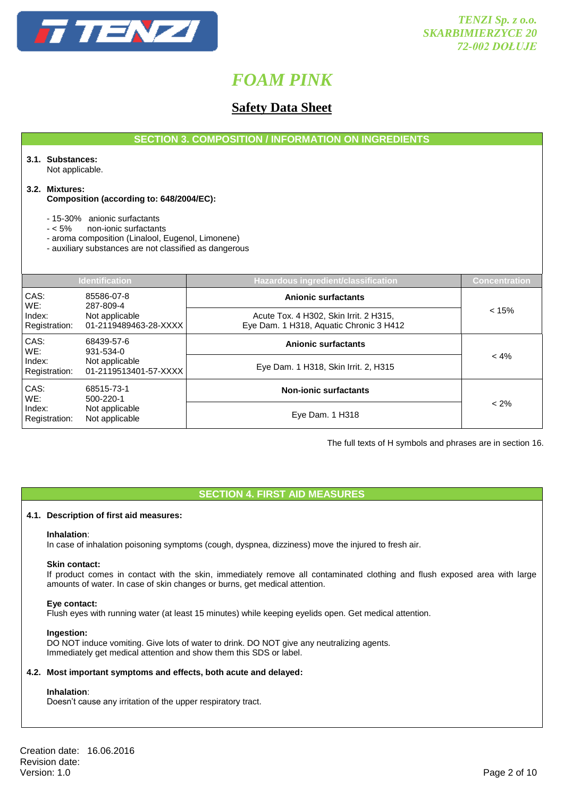

## **Safety Data Sheet**

**SECTION 3. COMPOSITION / INFORMATION ON INGREDIENTS**

## **3.1. Substances:**

Not applicable.

#### **3.2. Mixtures:**

**Composition (according to: 648/2004/EC):**

- 15-30% anionic surfactants

- < 5% non-ionic surfactants

- aroma composition (Linalool, Eugenol, Limonene)

- auxiliary substances are not classified as dangerous

|                         | <b>Identification</b>                                              | <b>Hazardous ingredient/classification</b>                                        | <b>Concentration</b> |
|-------------------------|--------------------------------------------------------------------|-----------------------------------------------------------------------------------|----------------------|
| CAS:<br>WE:             | 85586-07-8<br>287-809-4                                            | <b>Anionic surfactants</b>                                                        |                      |
| Index:<br>Registration: | Not applicable<br>01-2119489463-28-XXXX                            | Acute Tox. 4 H302, Skin Irrit. 2 H315,<br>Eye Dam. 1 H318, Aquatic Chronic 3 H412 | < 15%                |
| CAS:<br>WE:             | 68439-57-6<br>931-534-0<br>Not applicable<br>01-2119513401-57-XXXX | Anionic surfactants                                                               |                      |
| Index:<br>Registration: |                                                                    | Eye Dam. 1 H318, Skin Irrit. 2, H315                                              | $< 4\%$              |
| CAS:<br>WE:             | 68515-73-1<br>500-220-1                                            | <b>Non-ionic surfactants</b>                                                      |                      |
| Index:<br>Registration: | Not applicable<br>Not applicable                                   | Eye Dam. 1 H318                                                                   | $< 2\%$              |

The full texts of H symbols and phrases are in section 16.

## **SECTION 4. FIRST AID MEASURES**

#### **4.1. Description of first aid measures:**

#### **Inhalation**:

In case of inhalation poisoning symptoms (cough, dyspnea, dizziness) move the injured to fresh air.

#### **Skin contact:**

If product comes in contact with the skin, immediately remove all contaminated clothing and flush exposed area with large amounts of water. In case of skin changes or burns, get medical attention.

#### **Eye contact:**

Flush eyes with running water (at least 15 minutes) while keeping eyelids open. Get medical attention.

#### **Ingestion:**

DO NOT induce vomiting. Give lots of water to drink. DO NOT give any neutralizing agents. Immediately get medical attention and show them this SDS or label.

#### **4.2. Most important symptoms and effects, both acute and delayed:**

#### **Inhalation**:

Doesn't cause any irritation of the upper respiratory tract.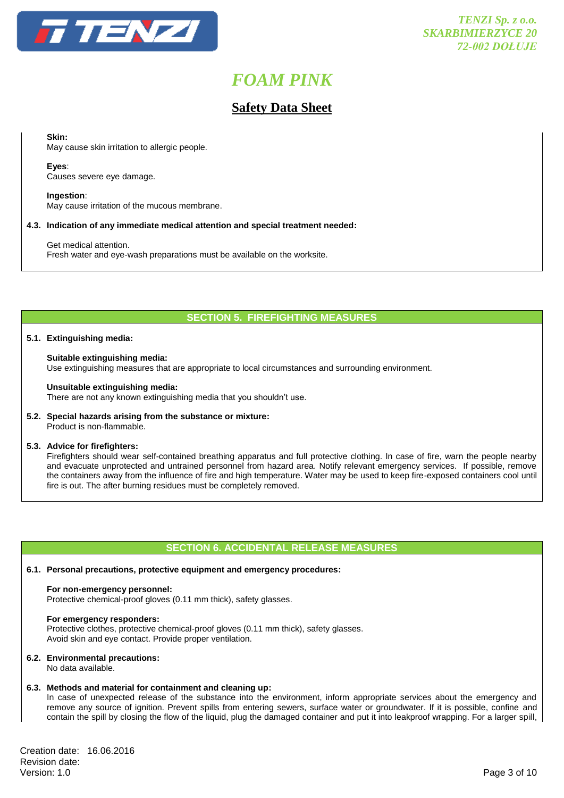

## **Safety Data Sheet**

**Skin:**

May cause skin irritation to allergic people.

#### **Eyes**:

Causes severe eye damage.

**Ingestion**: May cause irritation of the mucous membrane.

### **4.3. Indication of any immediate medical attention and special treatment needed:**

Get medical attention. Fresh water and eye-wash preparations must be available on the worksite.

## **SECTION 5. FIREFIGHTING MEASURES**

#### **5.1. Extinguishing media:**

#### **Suitable extinguishing media:**

Use extinguishing measures that are appropriate to local circumstances and surrounding environment.

#### **Unsuitable extinguishing media:**

There are not any known extinguishing media that you shouldn't use.

## **5.2. Special hazards arising from the substance or mixture:**

Product is non-flammable.

#### **5.3. Advice for firefighters:**

Firefighters should wear self-contained breathing apparatus and full protective clothing. In case of fire, warn the people nearby and evacuate unprotected and untrained personnel from hazard area. Notify relevant emergency services. If possible, remove the containers away from the influence of fire and high temperature. Water may be used to keep fire-exposed containers cool until fire is out. The after burning residues must be completely removed.

#### **SECTION 6. ACCIDENTAL RELEASE MEASURES**

#### **6.1. Personal precautions, protective equipment and emergency procedures:**

#### **For non-emergency personnel:**

Protective chemical-proof gloves (0.11 mm thick), safety glasses.

#### **For emergency responders:**

Protective clothes, protective chemical-proof gloves (0.11 mm thick), safety glasses. Avoid skin and eye contact. Provide proper ventilation.

#### **6.2. Environmental precautions:**

No data available.

#### **6.3. Methods and material for containment and cleaning up:**

In case of unexpected release of the substance into the environment, inform appropriate services about the emergency and remove any source of ignition. Prevent spills from entering sewers, surface water or groundwater. If it is possible, confine and contain the spill by closing the flow of the liquid, plug the damaged container and put it into leakproof wrapping. For a larger spill,

Creation date: 16.06.2016 Revision date:<br>Version: 1.0 Version: 1.0 Page 3 of 10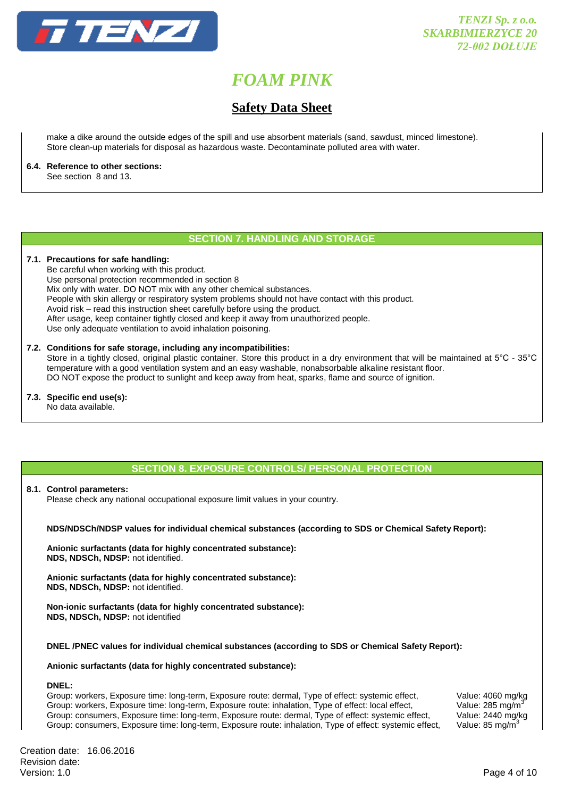

## **Safety Data Sheet**

make a dike around the outside edges of the spill and use absorbent materials (sand, sawdust, minced limestone). Store clean-up materials for disposal as hazardous waste. Decontaminate polluted area with water.

### **6.4. Reference to other sections:**

See section 8 and 13.

## **SECTION 7. HANDLING AND STORAGE**

#### **7.1. Precautions for safe handling:**

Be careful when working with this product. Use personal protection recommended in section 8 Mix only with water. DO NOT mix with any other chemical substances. People with skin allergy or respiratory system problems should not have contact with this product. Avoid risk – read this instruction sheet carefully before using the product. After usage, keep container tightly closed and keep it away from unauthorized people. Use only adequate ventilation to avoid inhalation poisoning.

#### **7.2. Conditions for safe storage, including any incompatibilities:**

Store in a tightly closed, original plastic container. Store this product in a dry environment that will be maintained at 5°C - 35°C temperature with a good ventilation system and an easy washable, nonabsorbable alkaline resistant floor. DO NOT expose the product to sunlight and keep away from heat, sparks, flame and source of ignition.

**7.3. Specific end use(s):** No data available.

## **SECTION 8. EXPOSURE CONTROLS/ PERSONAL PROTECTION**

#### **8.1. Control parameters:**

Please check any national occupational exposure limit values in your country.

**NDS/NDSCh/NDSP values for individual chemical substances (according to SDS or Chemical Safety Report):** 

**Anionic surfactants (data for highly concentrated substance): NDS, NDSCh, NDSP:** not identified.

**Anionic surfactants (data for highly concentrated substance): NDS, NDSCh, NDSP:** not identified.

**Non-ionic surfactants (data for highly concentrated substance): NDS, NDSCh, NDSP:** not identified

**DNEL /PNEC values for individual chemical substances (according to SDS or Chemical Safety Report):**

**Anionic surfactants (data for highly concentrated substance):**

#### **DNEL:**

Group: workers, Exposure time: long-term, Exposure route: dermal, Type of effect: systemic effect, Value: 4060 mg/kg Group: workers, Exposure time: long-term, Exposure route: inhalation, Type of effect: local effect, Value: 285 mg/m<sup>3</sup><br>Group: consumers, Exposure time: long-term, Exposure route: dermal, Type of effect: systemic effect, Va Group: consumers, Exposure time: long-term, Exposure route: dermal, Type of effect: systemic effect, Group: consumers, Exposure time: long-term, Exposure route: inhalation, Type of effect: systemic effect, Value: 85 mg/m3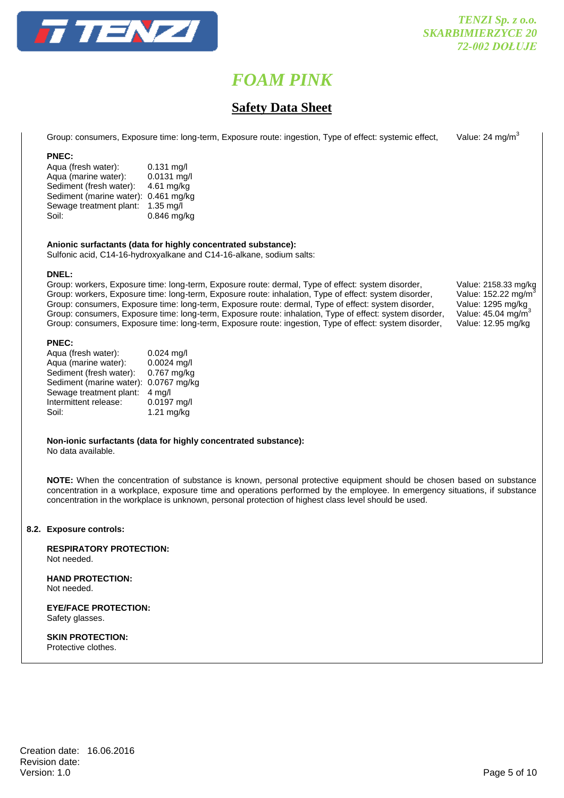

## **Safety Data Sheet**

Group: consumers, Exposure time: long-term, Exposure route: ingestion, Type of effect: systemic effect, Value: 24 mg/m<sup>3</sup>

## **PNEC:**

Aqua (fresh water): 0.131 mg/l Aqua (marine water): 0.0131 mg/l Sediment (fresh water): 4.61 mg/kg Sediment (marine water): 0.461 mg/kg Sewage treatment plant: 1.35 mg/l Soil: 0.846 mg/kg

**Anionic surfactants (data for highly concentrated substance):**

Sulfonic acid, C14-16-hydroxyalkane and C14-16-alkane, sodium salts:

### **DNEL:**

Group: workers, Exposure time: long-term, Exposure route: dermal, Type of effect: system disorder, Value: 2158.33 mg/kg Group: workers, Exposure time: long-term, Exposure route: inhalation, Type of effect: system disorder, Value: 152.22 mg/m<sup>3</sup><br>Group: consumers, Exposure time: long-term, Exposure route: dermal, Type of effect: system disord Group: consumers, Exposure time: long-term, Exposure route: dermal, Type of effect: system disorder, Group: consumers, Exposure time: long-term, Exposure route: inhalation, Type of effect: system disorder, Group: consumers, Exposure time: long-term, Exposure route: ingestion, Type of effect: system disorder, Value: 12.95 mg/kg

#### **PNEC:**

| Aqua (fresh water):      | $0.024$ mg/l     |
|--------------------------|------------------|
| Aqua (marine water):     | 0.0024 mg/l      |
| Sediment (fresh water):  | $0.767$ mg/kg    |
| Sediment (marine water): | 0.0767 mg/kg     |
| Sewage treatment plant:  | $4 \text{ mq/l}$ |
| Intermittent release:    | 0.0197 mg/l      |
| Soil:                    | 1.21 mg/kg       |
|                          |                  |

#### **Non-ionic surfactants (data for highly concentrated substance):** No data available.

**NOTE:** When the concentration of substance is known, personal protective equipment should be chosen based on substance concentration in a workplace, exposure time and operations performed by the employee. In emergency situations, if substance concentration in the workplace is unknown, personal protection of highest class level should be used.

### **8.2. Exposure controls:**

**RESPIRATORY PROTECTION:** Not needed.

**HAND PROTECTION:**  Not needed.

**EYE/FACE PROTECTION:** Safety glasses.

**SKIN PROTECTION:** Protective clothes.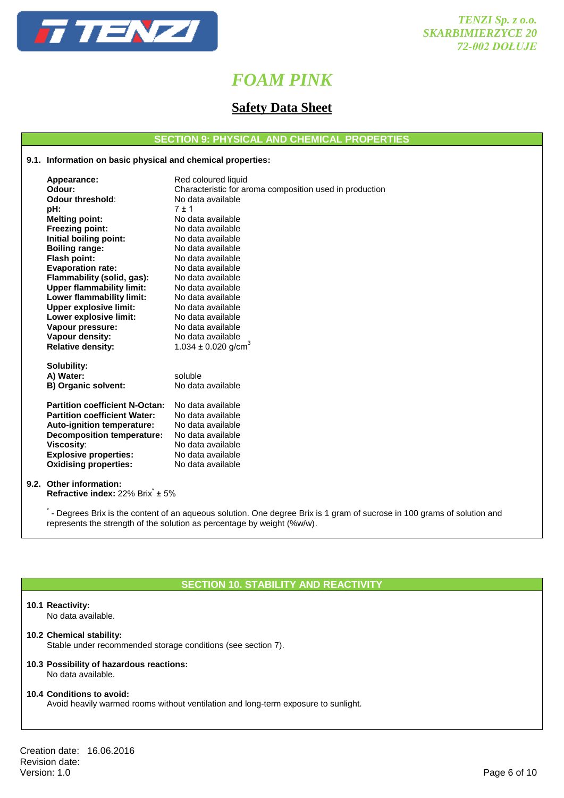

## **Safety Data Sheet**

**SECTION 9: PHYSICAL AND CHEMICAL PROPERTIES**

## **9.1. Information on basic physical and chemical properties:**

| Appearance:                           | Red coloured liquid                                     |
|---------------------------------------|---------------------------------------------------------|
| Odour:                                | Characteristic for aroma composition used in production |
| Odour threshold:                      | No data available                                       |
| pH:                                   | $7 + 1$                                                 |
| <b>Melting point:</b>                 | No data available                                       |
| Freezing point:                       | No data available                                       |
| Initial boiling point:                | No data available                                       |
| <b>Boiling range:</b>                 | No data available                                       |
| Flash point:                          | No data available                                       |
| <b>Evaporation rate:</b>              | No data available                                       |
| Flammability (solid, gas):            | No data available                                       |
| <b>Upper flammability limit:</b>      | No data available                                       |
| Lower flammability limit:             | No data available                                       |
| <b>Upper explosive limit:</b>         | No data available                                       |
| Lower explosive limit:                | No data available                                       |
| Vapour pressure:                      | No data available                                       |
| Vapour density:                       | No data available                                       |
| <b>Relative density:</b>              | 1.034 $\pm$ 0.020 g/cm <sup>3</sup>                     |
| Solubility:                           |                                                         |
| A) Water:                             | soluble                                                 |
| B) Organic solvent:                   | No data available                                       |
|                                       |                                                         |
| <b>Partition coefficient N-Octan:</b> | No data available                                       |
| <b>Partition coefficient Water:</b>   | No data available                                       |
| Auto-ignition temperature:            | No data available                                       |
| <b>Decomposition temperature:</b>     | No data available                                       |
| Viscosity:                            | No data available                                       |
| <b>Explosive properties:</b>          | No data available                                       |
| <b>Oxidising properties:</b>          | No data available                                       |
|                                       |                                                         |
| 9.2. Other information:               |                                                         |

**Refractive index: 22% Brix<sup>\*</sup> ± 5%** 

.<br>The Degrees Brix is the content of an aqueous solution. One degree Brix is 1 gram of sucrose in 100 grams of solution and represents the strength of the solution as percentage by weight (%w/w).

## **SECTION 10. STABILITY AND REACTIVITY**

#### **10.1 Reactivity:**

No data available.

### **10.2 Chemical stability:**

Stable under recommended storage conditions (see section 7).

#### **10.3 Possibility of hazardous reactions:** No data available.

#### **10.4 Conditions to avoid:**

Avoid heavily warmed rooms without ventilation and long-term exposure to sunlight.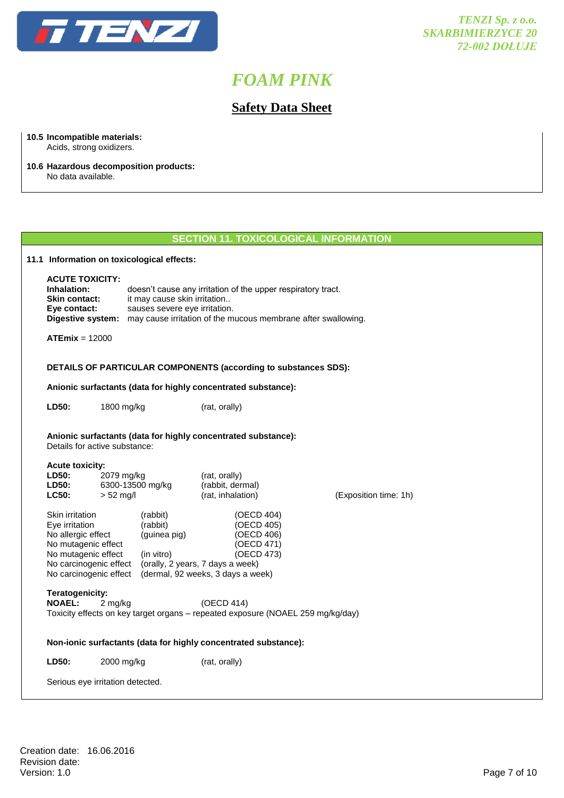

**10.5 Incompatible materials:**

# *FOAM PINK*

## **Safety Data Sheet**

| Acids, strong oxidizers.<br>10.6 Hazardous decomposition products:<br>No data available.              |                           |                                                               |                                                                                                                                                                    |                       |
|-------------------------------------------------------------------------------------------------------|---------------------------|---------------------------------------------------------------|--------------------------------------------------------------------------------------------------------------------------------------------------------------------|-----------------------|
|                                                                                                       |                           |                                                               |                                                                                                                                                                    |                       |
|                                                                                                       |                           |                                                               | <b>SECTION 11. TOXICOLOGICAL INFORMATION</b>                                                                                                                       |                       |
|                                                                                                       |                           | 11.1 Information on toxicological effects:                    |                                                                                                                                                                    |                       |
| <b>ACUTE TOXICITY:</b><br>Inhalation:<br>Skin contact:<br>Eye contact:                                |                           | it may cause skin irritation<br>sauses severe eye irritation. | doesn't cause any irritation of the upper respiratory tract.<br>Digestive system: may cause irritation of the mucous membrane after swallowing.                    |                       |
| $ATEmix = 12000$                                                                                      |                           |                                                               |                                                                                                                                                                    |                       |
|                                                                                                       |                           |                                                               | DETAILS OF PARTICULAR COMPONENTS (according to substances SDS):                                                                                                    |                       |
|                                                                                                       |                           |                                                               | Anionic surfactants (data for highly concentrated substance):                                                                                                      |                       |
| LD50:                                                                                                 | 1800 mg/kg                |                                                               | (rat, orally)                                                                                                                                                      |                       |
| Anionic surfactants (data for highly concentrated substance):<br>Details for active substance:        |                           |                                                               |                                                                                                                                                                    |                       |
| <b>Acute toxicity:</b><br><b>LD50:</b><br>LD50:<br>LC50:                                              | 2079 mg/kg<br>$> 52$ mg/l | 6300-13500 mg/kg                                              | (rat, orally)<br>(rabbit, dermal)<br>(rat, inhalation)                                                                                                             | (Exposition time: 1h) |
| Skin irritation<br>Eye irritation<br>No allergic effect<br>No mutagenic effect<br>No mutagenic effect | No carcinogenic effect    | (rabbit)<br>(rabbit)<br>(guinea pig)<br>(in vitro)            | (OECD 404)<br>(OECD 405)<br>(OECD 406)<br>(OECD 471)<br>(OECD 473)<br>(orally, 2 years, 7 days a week)<br>No carcinogenic effect (dermal, 92 weeks, 3 days a week) |                       |
| Teratogenicity:<br><b>NOAEL:</b>                                                                      | 2 mg/kg                   |                                                               | (OECD 414)<br>Toxicity effects on key target organs - repeated exposure (NOAEL 259 mg/kg/day)                                                                      |                       |
|                                                                                                       |                           |                                                               | Non-ionic surfactants (data for highly concentrated substance):                                                                                                    |                       |
|                                                                                                       |                           |                                                               |                                                                                                                                                                    |                       |

Creation date: 16.06.2016 Revision date:<br>Version: 1.0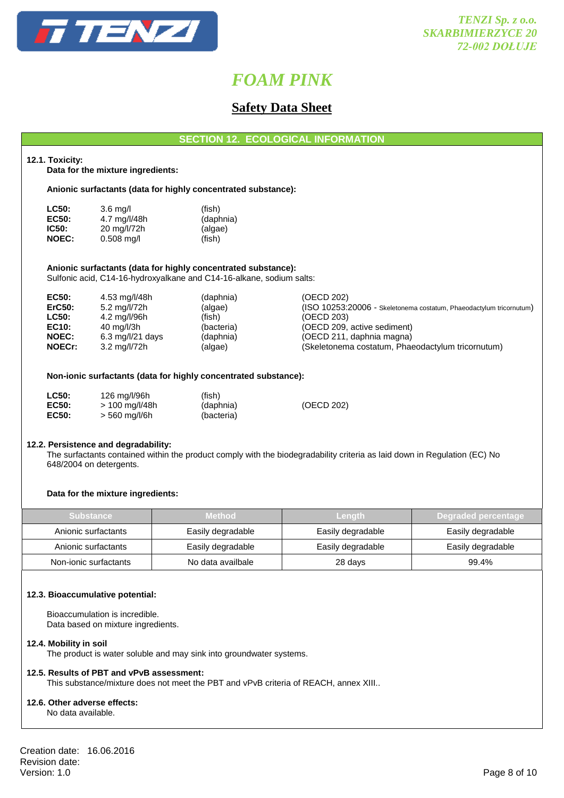

## **Safety Data Sheet**

| <b>SECTION 12. ECOLOGICAL INFORMATION</b> |  |
|-------------------------------------------|--|
|-------------------------------------------|--|

### **12.1. Toxicity:**

**Data for the mixture ingredients:**

**Anionic surfactants (data for highly concentrated substance):**

| <b>LC50:</b> | $3.6 \text{ mq/l}$ | (fish)    |
|--------------|--------------------|-----------|
| EC50:        | 4.7 mg/l/48h       | (daphnia) |
| IC50:        | 20 mg/l/72h        | (algae)   |
| <b>NOEC:</b> | $0.508$ mg/l       | (fish)    |

### **Anionic surfactants (data for highly concentrated substance):**

Sulfonic acid, C14-16-hydroxyalkane and C14-16-alkane, sodium salts:

| (ISO 10253:20006 - Skeletonema costatum, Phaeodactylum tricornutum) |
|---------------------------------------------------------------------|
|                                                                     |
|                                                                     |
|                                                                     |
| (Skeletonema costatum, Phaeodactylum tricornutum)                   |
|                                                                     |

#### **Non-ionic surfactants (data for highly concentrated substance):**

| LC50:        | 126 mg/l/96h   | (fish)     |            |
|--------------|----------------|------------|------------|
| <b>EC50:</b> | > 100 mg/l/48h | (daphnia)  | (OECD 202) |
| <b>EC50:</b> | > 560 mg/l/6h  | (bacteria) |            |

#### **12.2. Persistence and degradability:**

The surfactants contained within the product comply with the biodegradability criteria as laid down in Regulation (EC) No 648/2004 on detergents.

#### **Data for the mixture ingredients:**

| Substance             | <b>Method</b>     | Lenath            | 7 Deg <u>r</u> aded percentage. |
|-----------------------|-------------------|-------------------|---------------------------------|
| Anionic surfactants   | Easily degradable | Easily degradable | Easily degradable               |
| Anionic surfactants   | Easily degradable | Easily degradable | Easily degradable               |
| Non-ionic surfactants | No data availbale | 28 days           | 99.4%                           |

#### **12.3. Bioaccumulative potential:**

Bioaccumulation is incredible. Data based on mixture ingredients.

#### **12.4. Mobility in soil**

The product is water soluble and may sink into groundwater systems.

#### **12.5. Results of PBT and vPvB assessment:**

This substance/mixture does not meet the PBT and vPvB criteria of REACH, annex XIII..

#### **12.6. Other adverse effects:**

No data available.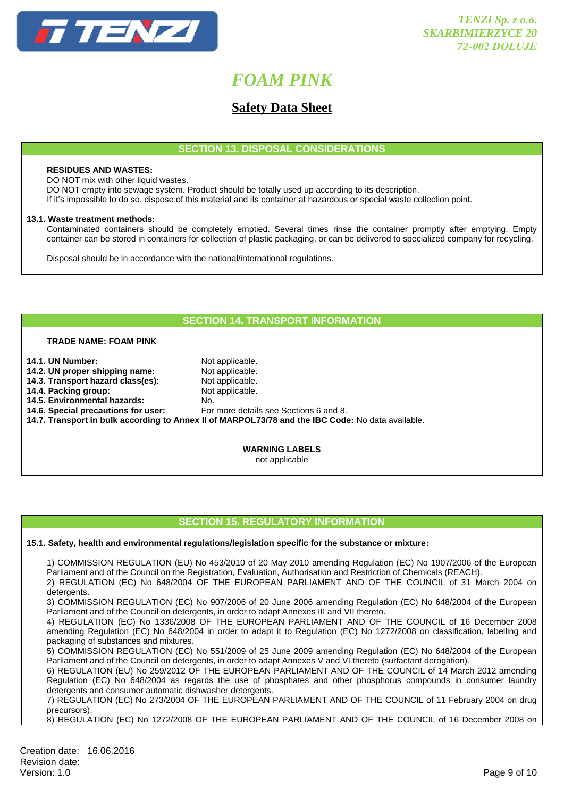

## **Safety Data Sheet**

**SECTION 13. DISPOSAL CONSIDERATIONS**

#### **RESIDUES AND WASTES:**

DO NOT mix with other liquid wastes.

DO NOT empty into sewage system. Product should be totally used up according to its description.

If it's impossible to do so, dispose of this material and its container at hazardous or special waste collection point.

#### **13.1. Waste treatment methods:**

Contaminated containers should be completely emptied. Several times rinse the container promptly after emptying. Empty container can be stored in containers for collection of plastic packaging, or can be delivered to specialized company for recycling.

Disposal should be in accordance with the national/international regulations.

## **SECTION 14. TRANSPORT INFORMATION**

### **TRADE NAME: FOAM PINK**

| Not applicable.                                                                                   |
|---------------------------------------------------------------------------------------------------|
| Not applicable.                                                                                   |
| Not applicable.                                                                                   |
| Not applicable.                                                                                   |
| No.                                                                                               |
| For more details see Sections 6 and 8.                                                            |
| 14.7. Transport in bulk according to Annex II of MARPOL73/78 and the IBC Code: No data available. |
|                                                                                                   |
|                                                                                                   |
|                                                                                                   |

**WARNING LABELS** not applicable

### **SECTION 15. REGULATORY INFORMATION**

**15.1. Safety, health and environmental regulations/legislation specific for the substance or mixture:**

1) COMMISSION REGULATION (EU) No 453/2010 of 20 May 2010 amending Regulation (EC) No 1907/2006 of the European Parliament and of the Council on the Registration, Evaluation, Authorisation and Restriction of Chemicals (REACH).

2) REGULATION (EC) No 648/2004 OF THE EUROPEAN PARLIAMENT AND OF THE COUNCIL of 31 March 2004 on detergents.

3) COMMISSION REGULATION (EC) No 907/2006 of 20 June 2006 amending Regulation (EC) No 648/2004 of the European Parliament and of the Council on detergents, in order to adapt Annexes III and VII thereto.

4) REGULATION (EC) No 1336/2008 OF THE EUROPEAN PARLIAMENT AND OF THE COUNCIL of 16 December 2008 amending Regulation (EC) No 648/2004 in order to adapt it to Regulation (EC) No 1272/2008 on classification, labelling and packaging of substances and mixtures.

5) COMMISSION REGULATION (EC) No 551/2009 of 25 June 2009 amending Regulation (EC) No 648/2004 of the European Parliament and of the Council on detergents, in order to adapt Annexes V and VI thereto (surfactant derogation).

6) REGULATION (EU) No 259/2012 OF THE EUROPEAN PARLIAMENT AND OF THE COUNCIL of 14 March 2012 amending Regulation (EC) No 648/2004 as regards the use of phosphates and other phosphorus compounds in consumer laundry detergents and consumer automatic dishwasher detergents.

7) REGULATION (EC) No 273/2004 OF THE EUROPEAN PARLIAMENT AND OF THE COUNCIL of 11 February 2004 on drug precursors).

8) REGULATION (EC) No 1272/2008 OF THE EUROPEAN PARLIAMENT AND OF THE COUNCIL of 16 December 2008 on

Creation date: 16.06.2016 Revision date: Version: 1.0 Page 9 of 10